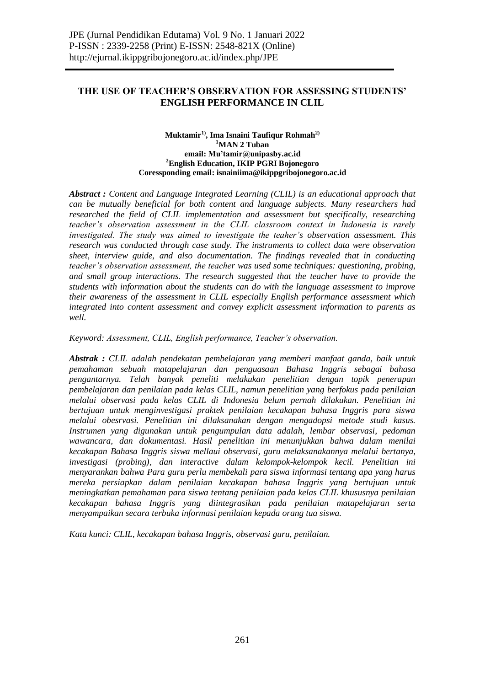### **THE USE OF TEACHER'S OBSERVATION FOR ASSESSING STUDENTS' ENGLISH PERFORMANCE IN CLIL**

#### **Muktamir1), Ima Isnaini Taufiqur Rohmah2) <sup>1</sup>MAN 2 Tuban email: Mu'tamir@unipasby.ac.id <sup>2</sup>English Education, IKIP PGRI Bojonegoro Coressponding email: isnainiima@ikippgribojonegoro.ac.id**

*Abstract : Content and Language Integrated Learning (CLIL) is an educational approach that can be mutually beneficial for both content and language subjects. Many researchers had researched the field of CLIL implementation and assessment but specifically, researching teacher's observation assessment in the CLIL classroom context in Indonesia is rarely investigated. The study was aimed to investigate the teaher's observation assessment. This research was conducted through case study. The instruments to collect data were observation sheet, interview guide, and also documentation. The findings revealed that in conducting teacher's observation assessment, the teacher was used some techniques: questioning, probing, and small group interactions. The research suggested that the teacher have to provide the students with information about the students can do with the language assessment to improve their awareness of the assessment in CLIL especially English performance assessment which integrated into content assessment and convey explicit assessment information to parents as well.*

*Keyword: Assessment, CLIL, English performance, Teacher's observation.*

*Abstrak : CLIL adalah pendekatan pembelajaran yang memberi manfaat ganda, baik untuk pemahaman sebuah matapelajaran dan penguasaan Bahasa Inggris sebagai bahasa pengantarnya. Telah banyak peneliti melakukan penelitian dengan topik penerapan pembelajaran dan penilaian pada kelas CLIL, namun penelitian yang berfokus pada penilaian melalui observasi pada kelas CLIL di Indonesia belum pernah dilakukan. Penelitian ini bertujuan untuk menginvestigasi praktek penilaian kecakapan bahasa Inggris para siswa melalui obesrvasi. Penelitian ini dilaksanakan dengan mengadopsi metode studi kasus. Instrumen yang digunakan untuk pengumpulan data adalah, lembar observasi, pedoman wawancara, dan dokumentasi. Hasil penelitian ini menunjukkan bahwa dalam menilai kecakapan Bahasa Inggris siswa mellaui observasi, guru melaksanakannya melalui bertanya, investigasi (probing), dan interactive dalam kelompok-kelompok kecil. Penelitian ini menyarankan bahwa Para guru perlu membekali para siswa informasi tentang apa yang harus mereka persiapkan dalam penilaian kecakapan bahasa Inggris yang bertujuan untuk meningkatkan pemahaman para siswa tentang penilaian pada kelas CLIL khususnya penilaian kecakapan bahasa Inggris yang diintegrasikan pada penilaian matapelajaran serta menyampaikan secara terbuka informasi penilaian kepada orang tua siswa.*

*Kata kunci: CLIL, kecakapan bahasa Inggris, observasi guru, penilaian.*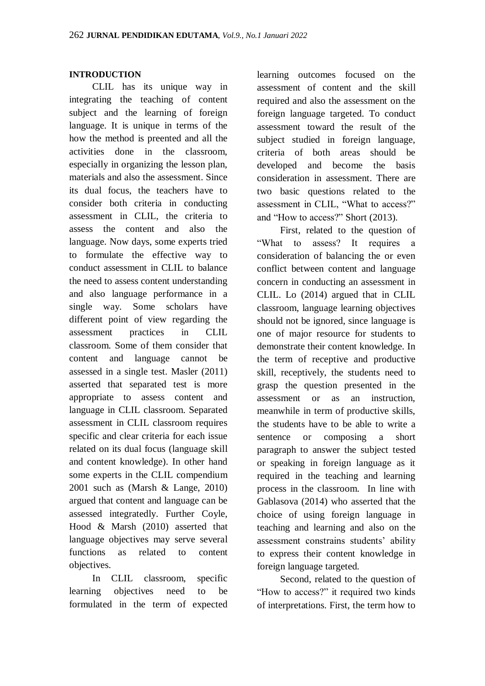## **INTRODUCTION**

CLIL has its unique way in integrating the teaching of content subject and the learning of foreign language. It is unique in terms of the how the method is preented and all the activities done in the classroom, especially in organizing the lesson plan, materials and also the assessment. Since its dual focus, the teachers have to consider both criteria in conducting assessment in CLIL, the criteria to assess the content and also the language. Now days, some experts tried to formulate the effective way to conduct assessment in CLIL to balance the need to assess content understanding and also language performance in a single way. Some scholars have different point of view regarding the assessment practices in CLIL classroom. Some of them consider that content and language cannot be assessed in a single test. Masler (2011) asserted that separated test is more appropriate to assess content and language in CLIL classroom. Separated assessment in CLIL classroom requires specific and clear criteria for each issue related on its dual focus (language skill and content knowledge). In other hand some experts in the CLIL compendium 2001 such as (Marsh & Lange, 2010) argued that content and language can be assessed integratedly. Further Coyle, Hood & Marsh (2010) asserted that language objectives may serve several functions as related to content objectives.

In CLIL classroom, specific learning objectives need to be formulated in the term of expected learning outcomes focused on the assessment of content and the skill required and also the assessment on the foreign language targeted. To conduct assessment toward the result of the subject studied in foreign language, criteria of both areas should be developed and become the basis consideration in assessment. There are two basic questions related to the assessment in CLIL, "What to access?" and "How to access?" Short (2013).

First, related to the question of "What to assess? It requires a consideration of balancing the or even conflict between content and language concern in conducting an assessment in CLIL. Lo (2014) argued that in CLIL classroom, language learning objectives should not be ignored, since language is one of major resource for students to demonstrate their content knowledge. In the term of receptive and productive skill, receptively, the students need to grasp the question presented in the assessment or as an instruction, meanwhile in term of productive skills, the students have to be able to write a sentence or composing a short paragraph to answer the subject tested or speaking in foreign language as it required in the teaching and learning process in the classroom. In line with Gablasova (2014) who asserted that the choice of using foreign language in teaching and learning and also on the assessment constrains students' ability to express their content knowledge in foreign language targeted.

Second, related to the question of "How to access?" it required two kinds of interpretations. First, the term how to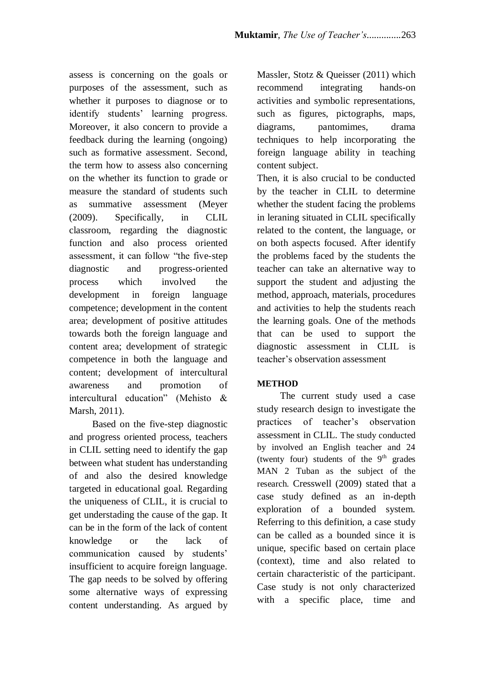assess is concerning on the goals or purposes of the assessment, such as whether it purposes to diagnose or to identify students' learning progress. Moreover, it also concern to provide a feedback during the learning (ongoing) such as formative assessment. Second, the term how to assess also concerning on the whether its function to grade or measure the standard of students such as summative assessment (Meyer (2009). Specifically, in CLIL classroom, regarding the diagnostic function and also process oriented assessment, it can follow "the five-step diagnostic and progress-oriented process which involved the development in foreign language competence; development in the content area; development of positive attitudes towards both the foreign language and content area; development of strategic competence in both the language and content; development of intercultural awareness and promotion of intercultural education" (Mehisto & Marsh, 2011).

Based on the five-step diagnostic and progress oriented process, teachers in CLIL setting need to identify the gap between what student has understanding of and also the desired knowledge targeted in educational goal. Regarding the uniqueness of CLIL, it is crucial to get understading the cause of the gap. It can be in the form of the lack of content knowledge or the lack of communication caused by students' insufficient to acquire foreign language. The gap needs to be solved by offering some alternative ways of expressing content understanding. As argued by

Massler, Stotz & Queisser (2011) which recommend integrating hands-on activities and symbolic representations, such as figures, pictographs, maps, diagrams, pantomimes, drama techniques to help incorporating the foreign language ability in teaching content subject.

Then, it is also crucial to be conducted by the teacher in CLIL to determine whether the student facing the problems in leraning situated in CLIL specifically related to the content, the language, or on both aspects focused. After identify the problems faced by the students the teacher can take an alternative way to support the student and adjusting the method, approach, materials, procedures and activities to help the students reach the learning goals. One of the methods that can be used to support the diagnostic assessment in CLIL is teacher's observation assessment

# **METHOD**

The current study used a case study research design to investigate the practices of teacher's observation assessment in CLIL. The study conducted by involved an English teacher and 24 (twenty four) students of the  $9<sup>th</sup>$  grades MAN 2 Tuban as the subject of the research. Cresswell (2009) stated that a case study defined as an in-depth exploration of a bounded system. Referring to this definition, a case study can be called as a bounded since it is unique, specific based on certain place (context), time and also related to certain characteristic of the participant. Case study is not only characterized with a specific place, time and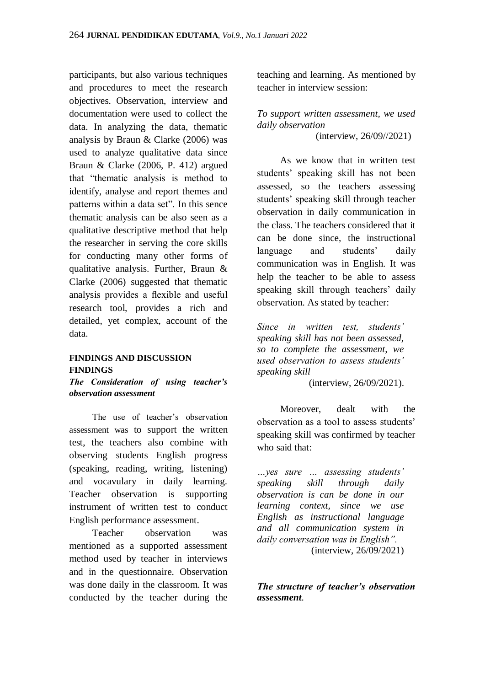participants, but also various techniques and procedures to meet the research objectives. Observation, interview and documentation were used to collect the data. In analyzing the data, thematic analysis by Braun & Clarke (2006) was used to analyze qualitative data since Braun & Clarke (2006, P. 412) argued that "thematic analysis is method to identify, analyse and report themes and patterns within a data set". In this sence thematic analysis can be also seen as a qualitative descriptive method that help the researcher in serving the core skills for conducting many other forms of qualitative analysis. Further, Braun & Clarke (2006) suggested that thematic analysis provides a flexible and useful research tool, provides a rich and detailed, yet complex, account of the data.

#### **FINDINGS AND DISCUSSION FINDINGS**

*The Consideration of using teacher's observation assessment*

The use of teacher's observation assessment was to support the written test, the teachers also combine with observing students English progress (speaking, reading, writing, listening) and vocavulary in daily learning. Teacher observation is supporting instrument of written test to conduct English performance assessment.

Teacher observation was mentioned as a supported assessment method used by teacher in interviews and in the questionnaire. Observation was done daily in the classroom. It was conducted by the teacher during the

teaching and learning. As mentioned by teacher in interview session:

*To support written assessment, we used daily observation* 

(interview, 26/09//2021)

As we know that in written test students' speaking skill has not been assessed, so the teachers assessing students' speaking skill through teacher observation in daily communication in the class. The teachers considered that it can be done since, the instructional language and students' daily communication was in English. It was help the teacher to be able to assess speaking skill through teachers' daily observation. As stated by teacher:

*Since in written test, students' speaking skill has not been assessed, so to complete the assessment, we used observation to assess students' speaking skill*

(interview, 26/09/2021).

Moreover, dealt with the observation as a tool to assess students' speaking skill was confirmed by teacher who said that:

*…yes sure … assessing students' speaking skill through daily observation is can be done in our learning context, since we use English as instructional language and all communication system in daily conversation was in English".*  (interview, 26/09/2021)

*The structure of teacher's observation assessment.*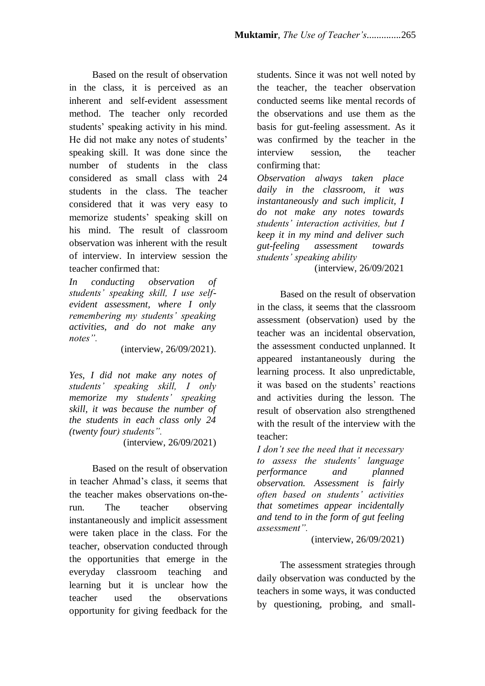Based on the result of observation in the class, it is perceived as an inherent and self-evident assessment method. The teacher only recorded students' speaking activity in his mind. He did not make any notes of students' speaking skill. It was done since the number of students in the class considered as small class with 24 students in the class. The teacher considered that it was very easy to memorize students' speaking skill on his mind. The result of classroom observation was inherent with the result of interview. In interview session the teacher confirmed that:

*In conducting observation of students' speaking skill, I use selfevident assessment, where I only remembering my students' speaking activities, and do not make any notes".* 

(interview, 26/09/2021).

*Yes, I did not make any notes of students' speaking skill, I only memorize my students' speaking skill, it was because the number of the students in each class only 24 (twenty four) students".*

(interview, 26/09/2021)

Based on the result of observation in teacher Ahmad's class, it seems that the teacher makes observations on-therun. The teacher observing instantaneously and implicit assessment were taken place in the class. For the teacher, observation conducted through the opportunities that emerge in the everyday classroom teaching and learning but it is unclear how the teacher used the observations opportunity for giving feedback for the students. Since it was not well noted by the teacher, the teacher observation conducted seems like mental records of the observations and use them as the basis for gut-feeling assessment. As it was confirmed by the teacher in the interview session, the teacher confirming that:

*Observation always taken place daily in the classroom, it was instantaneously and such implicit, I do not make any notes towards students' interaction activities, but I keep it in my mind and deliver such gut-feeling assessment towards students' speaking ability*

(interview, 26/09/2021

Based on the result of observation in the class, it seems that the classroom assessment (observation) used by the teacher was an incidental observation, the assessment conducted unplanned. It appeared instantaneously during the learning process. It also unpredictable, it was based on the students' reactions and activities during the lesson. The result of observation also strengthened with the result of the interview with the teacher:

*I don't see the need that it necessary to assess the students' language performance and planned observation. Assessment is fairly often based on students' activities that sometimes appear incidentally and tend to in the form of gut feeling assessment".* 

(interview, 26/09/2021)

The assessment strategies through daily observation was conducted by the teachers in some ways, it was conducted by questioning, probing, and small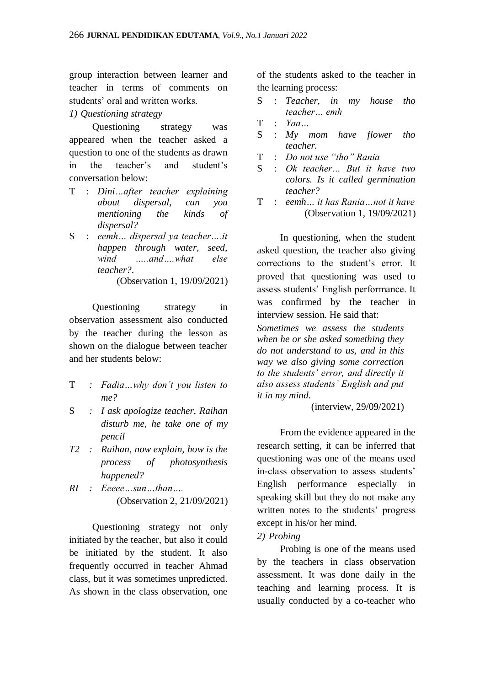group interaction between learner and teacher in terms of comments on students' oral and written works.

### *1) Questioning strategy*

Questioning strategy was appeared when the teacher asked a question to one of the students as drawn in the teacher's and student's conversation below:

- T : *Dini…after teacher explaining about dispersal, can you mentioning the kinds of dispersal?*
- S : *eemh… dispersal ya teacher….it happen through water, seed,*  wind and what else *teacher?*.

(Observation 1, 19/09/2021)

Questioning strategy in observation assessment also conducted by the teacher during the lesson as shown on the dialogue between teacher and her students below:

- T *: Fadia…why don't you listen to me?*
- S *: I ask apologize teacher, Raihan disturb me, he take one of my pencil*
- *T2 : Raihan, now explain, how is the process of photosynthesis happened?*
- *RI : Eeeee…sun…than….* (Observation 2, 21/09/2021)

Questioning strategy not only initiated by the teacher, but also it could be initiated by the student. It also frequently occurred in teacher Ahmad class, but it was sometimes unpredicted. As shown in the class observation, one of the students asked to the teacher in the learning process:

- S : *Teacher, in my house tho teacher… emh*
- T : *Yaa…*
- S : *My mom have flower tho teacher.*
- T : *Do not use "tho" Rania*
- S : *Ok teacher… But it have two colors. Is it called germination teacher?*
- T : *eemh… it has Rania…not it have*  (Observation 1, 19/09/2021)

In questioning, when the student asked question, the teacher also giving corrections to the student's error. It proved that questioning was used to assess students' English performance. It was confirmed by the teacher in interview session. He said that:

*Sometimes we assess the students when he or she asked something they do not understand to us, and in this way we also giving some correction to the students' error, and directly it also assess students' English and put it in my mind*.

(interview, 29/09/2021)

From the evidence appeared in the research setting, it can be inferred that questioning was one of the means used in-class observation to assess students' English performance especially in speaking skill but they do not make any written notes to the students' progress except in his/or her mind.

# *2) Probing*

Probing is one of the means used by the teachers in class observation assessment. It was done daily in the teaching and learning process. It is usually conducted by a co-teacher who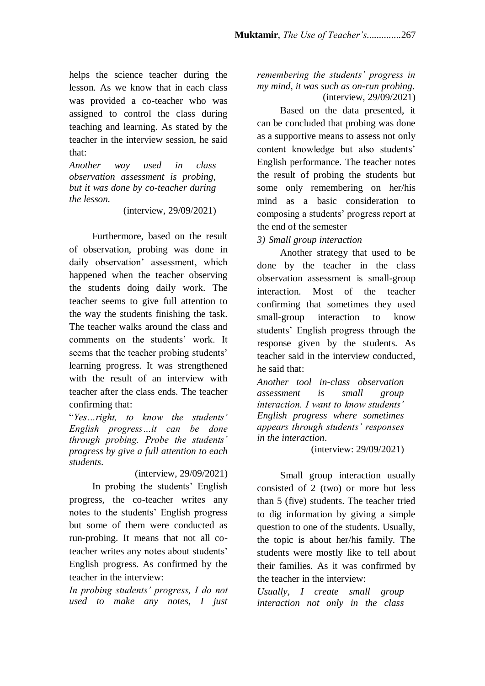helps the science teacher during the lesson. As we know that in each class was provided a co-teacher who was assigned to control the class during teaching and learning. As stated by the teacher in the interview session, he said that:

*Another way used in class observation assessment is probing, but it was done by co-teacher during the lesson.* 

(interview, 29/09/2021)

Furthermore, based on the result of observation, probing was done in daily observation' assessment, which happened when the teacher observing the students doing daily work. The teacher seems to give full attention to the way the students finishing the task. The teacher walks around the class and comments on the students' work. It seems that the teacher probing students' learning progress. It was strengthened with the result of an interview with teacher after the class ends. The teacher confirming that:

"*Yes…right, to know the students' English progress…it can be done through probing. Probe the students' progress by give a full attention to each students*.

(interview, 29/09/2021)

In probing the students' English progress, the co-teacher writes any notes to the students' English progress but some of them were conducted as run-probing. It means that not all coteacher writes any notes about students' English progress. As confirmed by the teacher in the interview:

*In probing students' progress, I do not used to make any notes, I just*  *remembering the students' progress in my mind, it was such as on-run probing*. (interview, 29/09/2021)

Based on the data presented, it can be concluded that probing was done as a supportive means to assess not only content knowledge but also students' English performance. The teacher notes the result of probing the students but some only remembering on her/his mind as a basic consideration to composing a students' progress report at the end of the semester

*3) Small group interaction*

Another strategy that used to be done by the teacher in the class observation assessment is small-group interaction. Most of the teacher confirming that sometimes they used small-group interaction to know students' English progress through the response given by the students. As teacher said in the interview conducted, he said that:

*Another tool in-class observation assessment is small group interaction. I want to know students' English progress where sometimes appears through students' responses in the interaction*.

(interview: 29/09/2021)

Small group interaction usually consisted of 2 (two) or more but less than 5 (five) students. The teacher tried to dig information by giving a simple question to one of the students. Usually, the topic is about her/his family. The students were mostly like to tell about their families. As it was confirmed by the teacher in the interview:

*Usually, I create small group interaction not only in the class*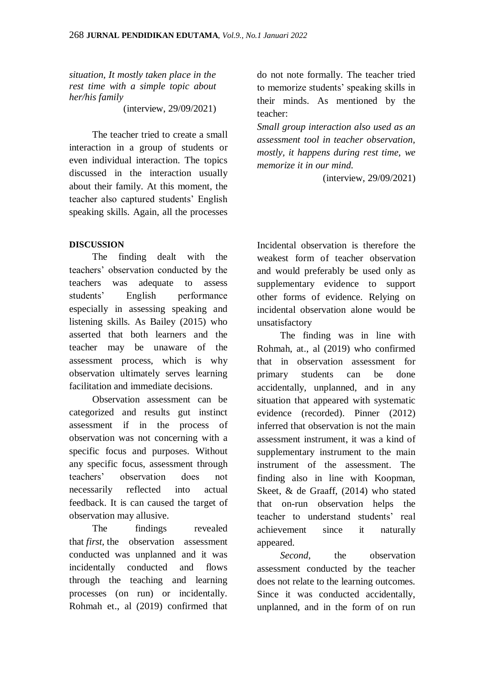*situation, It mostly taken place in the rest time with a simple topic about her/his family*

(interview, 29/09/2021)

The teacher tried to create a small interaction in a group of students or even individual interaction. The topics discussed in the interaction usually about their family. At this moment, the teacher also captured students' English speaking skills. Again, all the processes

# **DISCUSSION**

The finding dealt with the teachers' observation conducted by the teachers was adequate to assess students' English performance especially in assessing speaking and listening skills. As Bailey (2015) who asserted that both learners and the teacher may be unaware of the assessment process, which is why observation ultimately serves learning facilitation and immediate decisions.

Observation assessment can be categorized and results gut instinct assessment if in the process of observation was not concerning with a specific focus and purposes. Without any specific focus, assessment through teachers' observation does not necessarily reflected into actual feedback. It is can caused the target of observation may allusive.

The findings revealed that *first,* the observation assessment conducted was unplanned and it was incidentally conducted and flows through the teaching and learning processes (on run) or incidentally. Rohmah et., al (2019) confirmed that do not note formally. The teacher tried to memorize students' speaking skills in their minds. As mentioned by the teacher:

*Small group interaction also used as an assessment tool in teacher observation, mostly, it happens during rest time, we memorize it in our mind.* 

(interview, 29/09/2021)

Incidental observation is therefore the weakest form of teacher observation and would preferably be used only as supplementary evidence to support other forms of evidence. Relying on incidental observation alone would be unsatisfactory

The finding was in line with Rohmah, at., al (2019) who confirmed that in observation assessment for primary students can be done accidentally, unplanned, and in any situation that appeared with systematic evidence (recorded). Pinner (2012) inferred that observation is not the main assessment instrument, it was a kind of supplementary instrument to the main instrument of the assessment. The finding also in line with Koopman, Skeet, & de Graaff, (2014) who stated that on-run observation helps the teacher to understand students' real achievement since it naturally appeared.

*Second*, the observation assessment conducted by the teacher does not relate to the learning outcomes. Since it was conducted accidentally, unplanned, and in the form of on run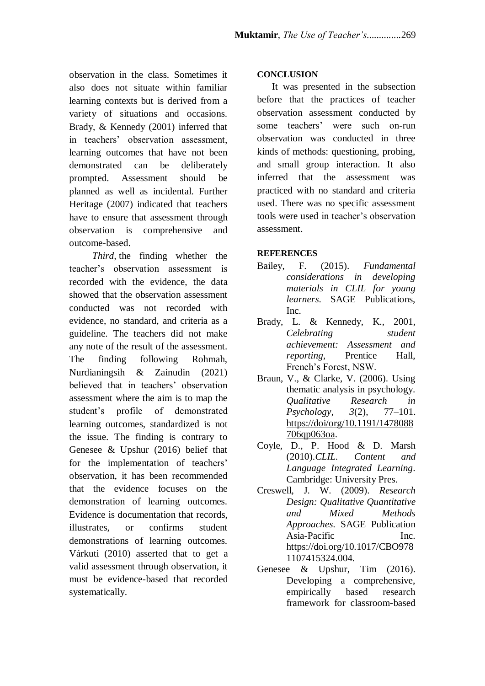observation in the class. Sometimes it also does not situate within familiar learning contexts but is derived from a variety of situations and occasions. Brady, & Kennedy (2001) inferred that in teachers' observation assessment, learning outcomes that have not been demonstrated can be deliberately prompted. Assessment should be planned as well as incidental. Further Heritage (2007) indicated that teachers have to ensure that assessment through observation is comprehensive and outcome-based.

*Third,* the finding whether the teacher's observation assessment is recorded with the evidence, the data showed that the observation assessment conducted was not recorded with evidence, no standard, and criteria as a guideline. The teachers did not make any note of the result of the assessment. The finding following Rohmah, Nurdianingsih & Zainudin (2021) believed that in teachers' observation assessment where the aim is to map the student's profile of demonstrated learning outcomes, standardized is not the issue. The finding is contrary to Genesee & Upshur (2016) belief that for the implementation of teachers' observation, it has been recommended that the evidence focuses on the demonstration of learning outcomes. Evidence is documentation that records, illustrates, or confirms student demonstrations of learning outcomes. Várkuti (2010) asserted that to get a valid assessment through observation, it must be evidence-based that recorded systematically.

### **CONCLUSION**

It was presented in the subsection before that the practices of teacher observation assessment conducted by some teachers' were such on-run observation was conducted in three kinds of methods: questioning, probing, and small group interaction. It also inferred that the assessment was practiced with no standard and criteria used. There was no specific assessment tools were used in teacher's observation assessment.

#### **REFERENCES**

- Bailey, F. (2015). *Fundamental considerations in developing materials in CLIL for young learners*. SAGE Publications, Inc.
- Brady, L. & Kennedy, K., 2001, *Celebrating student achievement: Assessment and reporting*, Prentice Hall, French's Forest, NSW.
- Braun, V., & Clarke, V. (2006). Using thematic analysis in psychology. *Qualitative Research in Psychology, 3*(2), 77–101. [https://doi/org/10.1191/1478088](https://doi/org/10.1191/1478088706qp063oa) [706qp063oa.](https://doi/org/10.1191/1478088706qp063oa)
- Coyle, D., P. Hood & D. Marsh (2010).*CLIL. Content and Language Integrated Learning*. Cambridge: University Pres.
- Creswell, J. W. (2009). *Research Design: Qualitative Quantitative and Mixed Methods Approaches*. SAGE Publication Asia-Pacific Inc. https://doi.org/10.1017/CBO978 1107415324.004.
- Genesee & Upshur, Tim (2016). Developing a comprehensive, empirically based research framework for classroom-based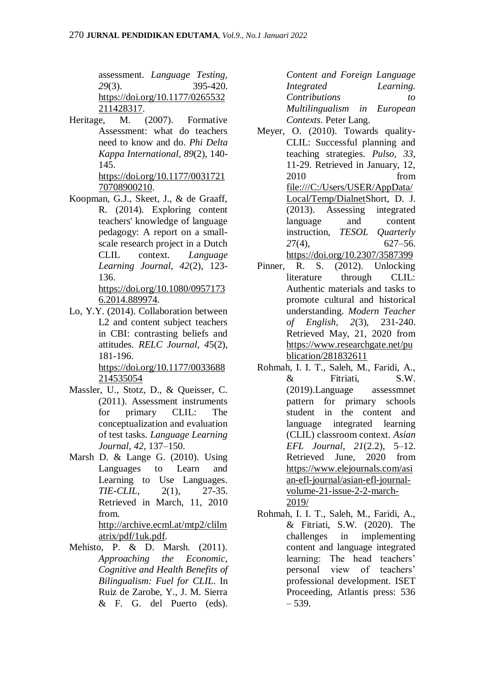assessment. *Language Testing, 29*(3). 395-420. [https://doi.org/10.1177/0265532](https://doi.org/10.1177%2F0265532211428317) [211428317.](https://doi.org/10.1177%2F0265532211428317)

Heritage, M. (2007). Formative Assessment: what do teachers need to know and do. *Phi Delta Kappa International, 89*(2), 140- 145.

[https://doi.org/10.1177/0031721](https://doi.org/10.1177%2F003172170708900210) [70708900210.](https://doi.org/10.1177%2F003172170708900210)

Koopman, G.J., Skeet, J., & de Graaff, R. (2014). Exploring content teachers' knowledge of language pedagogy: A report on a smallscale research project in a Dutch CLIL context*. Language Learning Journal, 42*(2), 123- 136.

https://doi.org[/10.1080/0957173](https://www.researchgate.net/deref/http%3A%2F%2Fdx.doi.org%2F10.1080%2F09571736.2014.889974?_sg%5B0%5D=mWIKfgIOwzJ50eyy9QHGfjBq9IE8G7fgZy1P_6V1ejQcatlqv4GHN-rku8-LiWomM6TFiAkFMZMdeHQoSB82hbHw5g.8GVWfT2zhrLpqX5e_3bdqHForcpdp2uxD4li09ehYEhzSqnGFCDlAnLCC7520g4i4NrbTod6V6qB4spXUDaCDw) [6.2014.889974.](https://www.researchgate.net/deref/http%3A%2F%2Fdx.doi.org%2F10.1080%2F09571736.2014.889974?_sg%5B0%5D=mWIKfgIOwzJ50eyy9QHGfjBq9IE8G7fgZy1P_6V1ejQcatlqv4GHN-rku8-LiWomM6TFiAkFMZMdeHQoSB82hbHw5g.8GVWfT2zhrLpqX5e_3bdqHForcpdp2uxD4li09ehYEhzSqnGFCDlAnLCC7520g4i4NrbTod6V6qB4spXUDaCDw)

Lo, Y.Y. (2014). Collaboration between L2 and content subject teachers in CBI: contrasting beliefs and attitudes. *RELC Journal, 4*5(2), 181-196. [https://doi.org/10.1177/0033688](https://doi.org/10.1177%2F0033688214535054)

[214535054](https://doi.org/10.1177%2F0033688214535054)

- Massler, U., Stotz, D., & Queisser, C. (2011). Assessment instruments for primary CLIL: The conceptualization and evaluation of test tasks. *Language Learning Journal, 42*, 137–150.
- Marsh D. & Lange G. (2010). Using Languages to Learn and Learning to Use Languages. *TIE-CLIL*, 2(1), 27-35. Retrieved in March, 11, 2010 from. [http://archive.ecml.at/mtp2/clilm](http://archive.ecml.at/mtp2/clilmatrix/pdf/1uk.pdf) [atrix/pdf/1uk.pdf.](http://archive.ecml.at/mtp2/clilmatrix/pdf/1uk.pdf)
- Mehisto, P. & D. Marsh. (2011). *Approaching the Economic, Cognitive and Health Benefits of Bilingualism: Fuel for CLIL*. In Ruiz de Zarobe, Y., J. M. Sierra & F. G. del Puerto (eds).

*Content and Foreign Language Integrated Learning. Contributions to Multilingualism in European Contexts*. Peter Lang.

- Meyer, O. (2010). Towards quality-CLIL: Successful planning and teaching strategies. *Pulso, 33*, 11-29. Retrieved in January, 12, 2010 from [file:///C:/Users/USER/AppData/](file:///C:/Users/USER/AppData/Local/Temp/Dialnet) [Local/Temp/DialnetS](file:///C:/Users/USER/AppData/Local/Temp/Dialnet)hort, D. J. (2013). Assessing integrated language and content instruction, *TESOL Quarterly 2*7(4), 627–56. <https://doi.org/10.2307/3587399>
- Pinner, R. S. (2012). Unlocking literature through CLIL: Authentic materials and tasks to promote cultural and historical understanding. *Modern Teacher of English, 2*(3), 231-240. Retrieved May, 21, 2020 from [https://www.researchgate.net/pu](https://www.researchgate.net/publication/281832611) [blication/281832611](https://www.researchgate.net/publication/281832611)
- Rohmah, I. I. T., Saleh, M., Faridi, A., & Fitriati, S.W. (2019).Language assessmnet pattern for primary schools student in the content and language integrated learning (CLIL) classroom context. *Asian EFL Journal*, *21*(2.2), 5–12. Retrieved June, 2020 from [https://www.elejournals.com/asi](https://www.elejournals.com/asian-efl-journal/asian-efl-journal-volume-21-issue-2-2-march-2019/) [an-efl-journal/asian-efl-journal](https://www.elejournals.com/asian-efl-journal/asian-efl-journal-volume-21-issue-2-2-march-2019/)[volume-21-issue-2-2-march-](https://www.elejournals.com/asian-efl-journal/asian-efl-journal-volume-21-issue-2-2-march-2019/)[2019/](https://www.elejournals.com/asian-efl-journal/asian-efl-journal-volume-21-issue-2-2-march-2019/)
- Rohmah, I. I. T., Saleh, M., Faridi, A., & Fitriati, S.W. (2020). The challenges in implementing content and language integrated learning: The head teachers' personal view of teachers' professional development. ISET Proceeding, Atlantis press: 536 – 539.